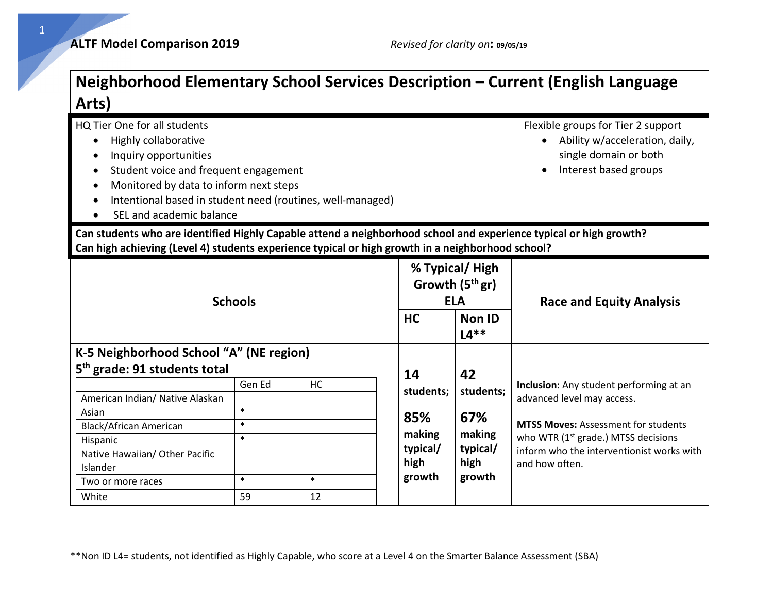| Arts)                                                                                                                                                                                                                                                                                                                                                                                                           |                                                |              |                                                                |                                                                             | Neighborhood Elementary School Services Description – Current (English Language                                                                                                                                                       |
|-----------------------------------------------------------------------------------------------------------------------------------------------------------------------------------------------------------------------------------------------------------------------------------------------------------------------------------------------------------------------------------------------------------------|------------------------------------------------|--------------|----------------------------------------------------------------|-----------------------------------------------------------------------------|---------------------------------------------------------------------------------------------------------------------------------------------------------------------------------------------------------------------------------------|
| HQ Tier One for all students<br>Highly collaborative<br>$\bullet$<br>Inquiry opportunities<br>Student voice and frequent engagement<br>٠<br>Monitored by data to inform next steps<br>$\bullet$<br>Intentional based in student need (routines, well-managed)<br>SEL and academic balance<br>Can students who are identified Highly Capable attend a neighborhood school and experience typical or high growth? |                                                |              |                                                                |                                                                             | Flexible groups for Tier 2 support<br>Ability w/acceleration, daily,<br>single domain or both<br>Interest based groups                                                                                                                |
| Can high achieving (Level 4) students experience typical or high growth in a neighborhood school?<br><b>Schools</b>                                                                                                                                                                                                                                                                                             |                                                |              | <b>HC</b>                                                      | % Typical/High<br>Growth $(5thgr)$<br><b>ELA</b><br><b>Non ID</b><br>$L4**$ | <b>Race and Equity Analysis</b>                                                                                                                                                                                                       |
| K-5 Neighborhood School "A" (NE region)                                                                                                                                                                                                                                                                                                                                                                         |                                                |              |                                                                |                                                                             |                                                                                                                                                                                                                                       |
| 5 <sup>th</sup> grade: 91 students total<br>American Indian/ Native Alaskan<br>Asian<br><b>Black/African American</b><br>Hispanic<br>Native Hawaiian/ Other Pacific<br>Islander<br>Two or more races                                                                                                                                                                                                            | Gen Ed<br>$\ast$<br>$\ast$<br>$\ast$<br>$\ast$ | HC<br>$\ast$ | 14<br>students;<br>85%<br>making<br>typical/<br>high<br>growth | 42<br>students;<br>67%<br>making<br>typical/<br>high<br>growth              | Inclusion: Any student performing at an<br>advanced level may access.<br><b>MTSS Moves: Assessment for students</b><br>who WTR (1 <sup>st</sup> grade.) MTSS decisions<br>inform who the interventionist works with<br>and how often. |
| White                                                                                                                                                                                                                                                                                                                                                                                                           | 59                                             | 12           |                                                                |                                                                             |                                                                                                                                                                                                                                       |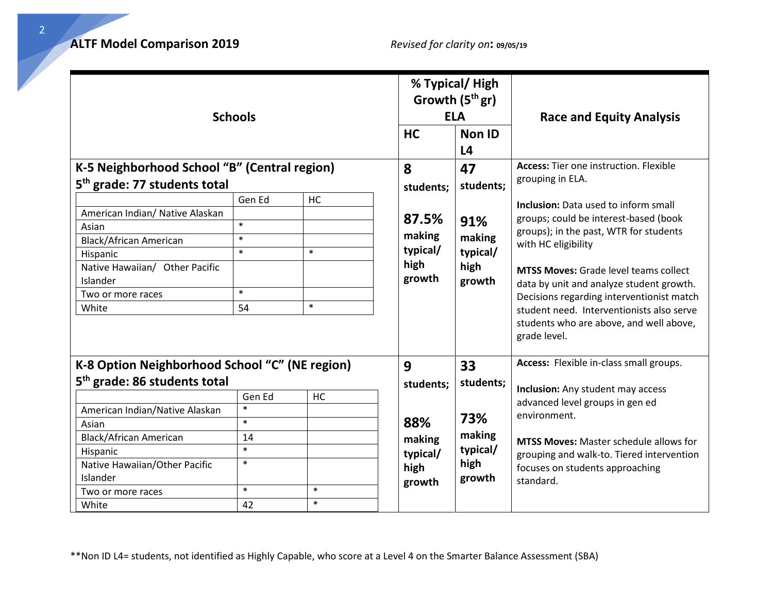| <b>Schools</b>                                                                                                                                                                                                                                                |                                                                      |                               |                                                                 | % Typical/High<br>Growth (5 <sup>th</sup> gr)<br><b>ELA</b><br>Non ID<br>L <sub>4</sub> | <b>Race and Equity Analysis</b>                                                                                                                                                                                                                                                                                                                                                                                                                                      |
|---------------------------------------------------------------------------------------------------------------------------------------------------------------------------------------------------------------------------------------------------------------|----------------------------------------------------------------------|-------------------------------|-----------------------------------------------------------------|-----------------------------------------------------------------------------------------|----------------------------------------------------------------------------------------------------------------------------------------------------------------------------------------------------------------------------------------------------------------------------------------------------------------------------------------------------------------------------------------------------------------------------------------------------------------------|
| K-5 Neighborhood School "B" (Central region)<br>5 <sup>th</sup> grade: 77 students total<br>American Indian/ Native Alaskan<br>Asian<br>Black/African American<br>Hispanic<br>Native Hawaiian/ Other Pacific<br>Islander<br>Two or more races<br>White        | Gen Ed<br>$\ast$<br>$\ast$<br>$\ast$<br>$\ast$<br>54                 | HC<br>$\ast$<br>$\ast$        | 8<br>students;<br>87.5%<br>making<br>typical/<br>high<br>growth | 47<br>students;<br>91%<br>making<br>typical/<br>high<br>growth                          | <b>Access:</b> Tier one instruction. Flexible<br>grouping in ELA.<br>Inclusion: Data used to inform small<br>groups; could be interest-based (book<br>groups); in the past, WTR for students<br>with HC eligibility<br><b>MTSS Moves:</b> Grade level teams collect<br>data by unit and analyze student growth.<br>Decisions regarding interventionist match<br>student need. Interventionists also serve<br>students who are above, and well above,<br>grade level. |
| K-8 Option Neighborhood School "C" (NE region)<br>5 <sup>th</sup> grade: 86 students total<br>American Indian/Native Alaskan<br>Asian<br><b>Black/African American</b><br>Hispanic<br>Native Hawaiian/Other Pacific<br>Islander<br>Two or more races<br>White | Gen Ed<br>$\ast$<br>$\ast$<br>14<br>$\ast$<br>$\ast$<br>$\ast$<br>42 | <b>HC</b><br>$\ast$<br>$\ast$ | 9<br>students;<br>88%<br>making<br>typical/<br>high<br>growth   | 33<br>students;<br>73%<br>making<br>typical/<br>high<br>growth                          | Access: Flexible in-class small groups.<br><b>Inclusion:</b> Any student may access<br>advanced level groups in gen ed<br>environment.<br><b>MTSS Moves:</b> Master schedule allows for<br>grouping and walk-to. Tiered intervention<br>focuses on students approaching<br>standard.                                                                                                                                                                                 |

\*\*Non ID L4= students, not identified as Highly Capable, who score at a Level 4 on the Smarter Balance Assessment (SBA)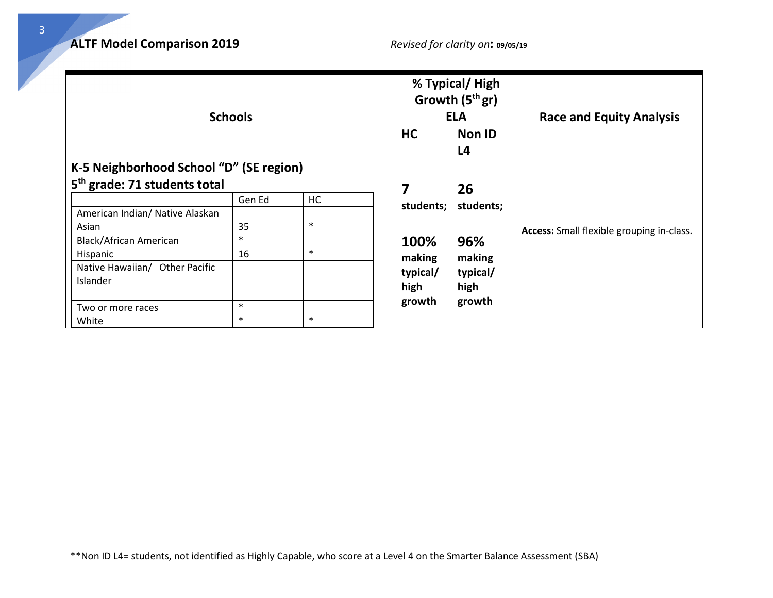| <b>Schools</b>                           |        |        |           | % Typical/High<br>Growth $(5thgr)$<br><b>ELA</b> | <b>Race and Equity Analysis</b>                  |
|------------------------------------------|--------|--------|-----------|--------------------------------------------------|--------------------------------------------------|
|                                          |        |        | <b>HC</b> | <b>Non ID</b><br>L <sub>4</sub>                  |                                                  |
| K-5 Neighborhood School "D" (SE region)  |        |        |           |                                                  |                                                  |
| 5 <sup>th</sup> grade: 71 students total |        |        | 7         | 26                                               |                                                  |
|                                          | Gen Ed | HC     | students; | students;                                        |                                                  |
| American Indian/ Native Alaskan          |        |        |           |                                                  |                                                  |
| Asian                                    | 35     | $\ast$ |           |                                                  | <b>Access:</b> Small flexible grouping in-class. |
| <b>Black/African American</b>            | $\ast$ |        | 100%      | 96%                                              |                                                  |
| Hispanic                                 | 16     | $\ast$ | making    | making                                           |                                                  |
| Native Hawaiian/ Other Pacific           |        |        | typical/  | typical/                                         |                                                  |
| Islander                                 |        |        | high      | high                                             |                                                  |
| Two or more races                        | $\ast$ |        | growth    | growth                                           |                                                  |
| White                                    | $\ast$ | $\ast$ |           |                                                  |                                                  |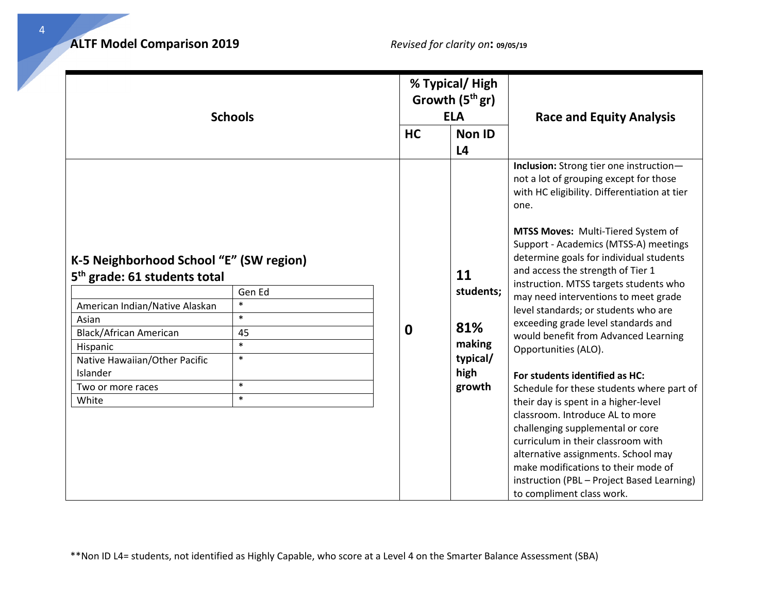| <b>Schools</b>                                                                                                                                                                                                                                         |                                                                          | <b>HC</b> | % Typical/High<br>Growth $(5thgr)$<br><b>ELA</b><br><b>Non ID</b> | <b>Race and Equity Analysis</b>                                                                                                                                                                                                                                                                                                                                                                                                                                                                                                                                                                                                                                                                                                                                                                                                                                                                                                        |
|--------------------------------------------------------------------------------------------------------------------------------------------------------------------------------------------------------------------------------------------------------|--------------------------------------------------------------------------|-----------|-------------------------------------------------------------------|----------------------------------------------------------------------------------------------------------------------------------------------------------------------------------------------------------------------------------------------------------------------------------------------------------------------------------------------------------------------------------------------------------------------------------------------------------------------------------------------------------------------------------------------------------------------------------------------------------------------------------------------------------------------------------------------------------------------------------------------------------------------------------------------------------------------------------------------------------------------------------------------------------------------------------------|
|                                                                                                                                                                                                                                                        |                                                                          |           | L <sub>4</sub>                                                    |                                                                                                                                                                                                                                                                                                                                                                                                                                                                                                                                                                                                                                                                                                                                                                                                                                                                                                                                        |
| K-5 Neighborhood School "E" (SW region)<br>5 <sup>th</sup> grade: 61 students total<br>American Indian/Native Alaskan<br>Asian<br><b>Black/African American</b><br>Hispanic<br>Native Hawaiian/Other Pacific<br>Islander<br>Two or more races<br>White | Gen Ed<br>$\ast$<br>$\ast$<br>45<br>$\ast$<br>$\ast$<br>$\ast$<br>$\ast$ | 0         | 11<br>students;<br>81%<br>making<br>typical/<br>high<br>growth    | Inclusion: Strong tier one instruction-<br>not a lot of grouping except for those<br>with HC eligibility. Differentiation at tier<br>one.<br>MTSS Moves: Multi-Tiered System of<br>Support - Academics (MTSS-A) meetings<br>determine goals for individual students<br>and access the strength of Tier 1<br>instruction. MTSS targets students who<br>may need interventions to meet grade<br>level standards; or students who are<br>exceeding grade level standards and<br>would benefit from Advanced Learning<br>Opportunities (ALO).<br>For students identified as HC:<br>Schedule for these students where part of<br>their day is spent in a higher-level<br>classroom. Introduce AL to more<br>challenging supplemental or core<br>curriculum in their classroom with<br>alternative assignments. School may<br>make modifications to their mode of<br>instruction (PBL - Project Based Learning)<br>to compliment class work. |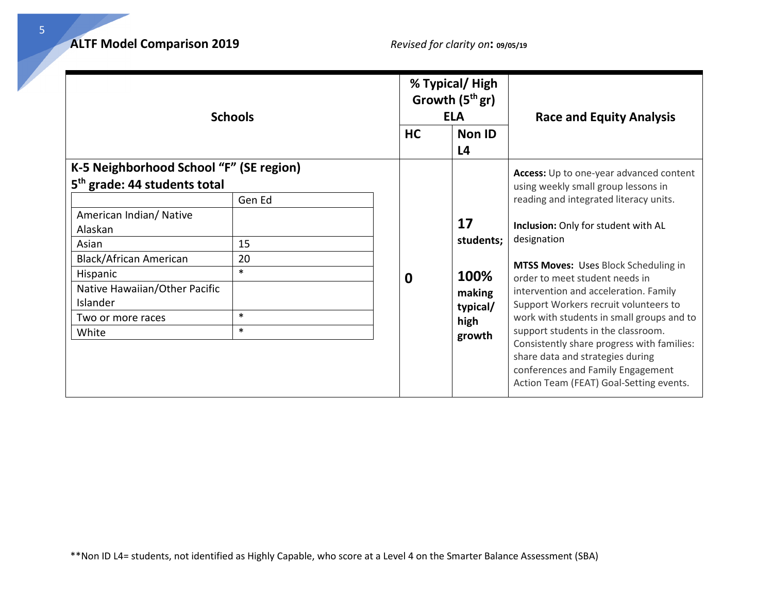| <b>Schools</b>                           |        |           | % Typical/ High<br>Growth $(5thgr)$<br><b>ELA</b> | <b>Race and Equity Analysis</b>                                                                                                                                |
|------------------------------------------|--------|-----------|---------------------------------------------------|----------------------------------------------------------------------------------------------------------------------------------------------------------------|
|                                          |        | <b>HC</b> | Non ID<br>L <sub>4</sub>                          |                                                                                                                                                                |
| K-5 Neighborhood School "F" (SE region)  |        |           |                                                   | Access: Up to one-year advanced content                                                                                                                        |
| 5 <sup>th</sup> grade: 44 students total |        |           |                                                   | using weekly small group lessons in                                                                                                                            |
|                                          | Gen Ed |           |                                                   | reading and integrated literacy units.                                                                                                                         |
| American Indian/ Native<br>Alaskan       |        |           | 17                                                | Inclusion: Only for student with AL                                                                                                                            |
| Asian                                    | 15     |           | students;                                         | designation                                                                                                                                                    |
| <b>Black/African American</b>            | 20     |           |                                                   | MTSS Moves: Uses Block Scheduling in                                                                                                                           |
| Hispanic                                 | $\ast$ | 0         | 100%                                              | order to meet student needs in                                                                                                                                 |
| Native Hawaiian/Other Pacific            |        |           | making                                            | intervention and acceleration. Family                                                                                                                          |
| Islander                                 |        |           | typical/                                          | Support Workers recruit volunteers to                                                                                                                          |
| Two or more races                        | $\ast$ |           | high                                              | work with students in small groups and to                                                                                                                      |
| White                                    | $\ast$ |           | growth                                            | support students in the classroom.                                                                                                                             |
|                                          |        |           |                                                   | Consistently share progress with families:<br>share data and strategies during<br>conferences and Family Engagement<br>Action Team (FEAT) Goal-Setting events. |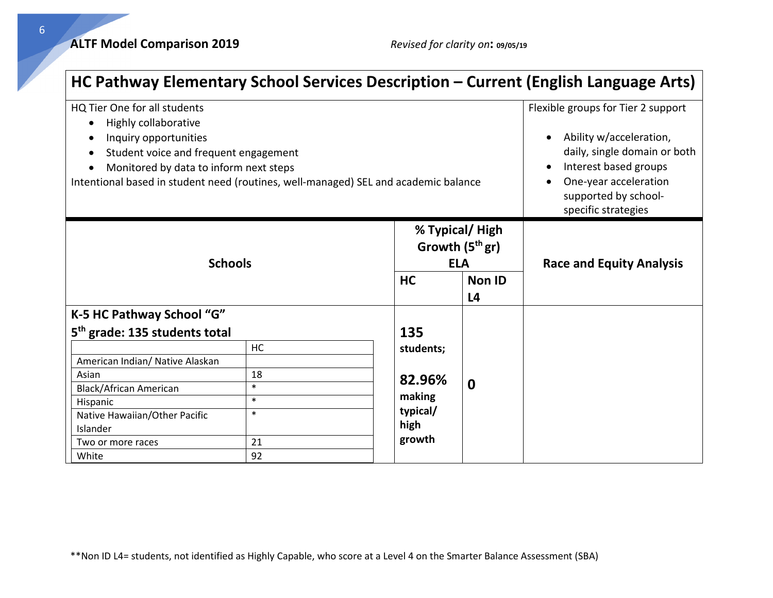**ALTF Model Comparison 2019** *Revised for clarity on***: 09/05/19**

|                                                                                                                                                                                                                                                         |                                        |                                                                   |                                 | HC Pathway Elementary School Services Description – Current (English Language Arts)                                                                                                            |
|---------------------------------------------------------------------------------------------------------------------------------------------------------------------------------------------------------------------------------------------------------|----------------------------------------|-------------------------------------------------------------------|---------------------------------|------------------------------------------------------------------------------------------------------------------------------------------------------------------------------------------------|
| HQ Tier One for all students<br>Highly collaborative<br>Inquiry opportunities<br>Student voice and frequent engagement<br>Monitored by data to inform next steps<br>Intentional based in student need (routines, well-managed) SEL and academic balance |                                        |                                                                   |                                 | Flexible groups for Tier 2 support<br>Ability w/acceleration,<br>daily, single domain or both<br>Interest based groups<br>One-year acceleration<br>supported by school-<br>specific strategies |
| <b>Schools</b>                                                                                                                                                                                                                                          | HC                                     | % Typical/High<br>Growth $(5thgr)$<br><b>ELA</b><br><b>Non ID</b> | <b>Race and Equity Analysis</b> |                                                                                                                                                                                                |
|                                                                                                                                                                                                                                                         |                                        |                                                                   | L <sub>4</sub>                  |                                                                                                                                                                                                |
| K-5 HC Pathway School "G"                                                                                                                                                                                                                               |                                        |                                                                   |                                 |                                                                                                                                                                                                |
| 5 <sup>th</sup> grade: 135 students total                                                                                                                                                                                                               |                                        | 135                                                               |                                 |                                                                                                                                                                                                |
| American Indian/ Native Alaskan<br>Asian<br>Black/African American<br>Hispanic<br>Native Hawaiian/Other Pacific<br>Islander                                                                                                                             | HC<br>18<br>$\ast$<br>$\ast$<br>$\ast$ | students;<br>82.96%<br>making<br>typical/<br>high                 | $\mathbf 0$                     |                                                                                                                                                                                                |
| Two or more races<br>White                                                                                                                                                                                                                              | growth<br>21<br>92                     |                                                                   |                                 |                                                                                                                                                                                                |

\*\*Non ID L4= students, not identified as Highly Capable, who score at a Level 4 on the Smarter Balance Assessment (SBA)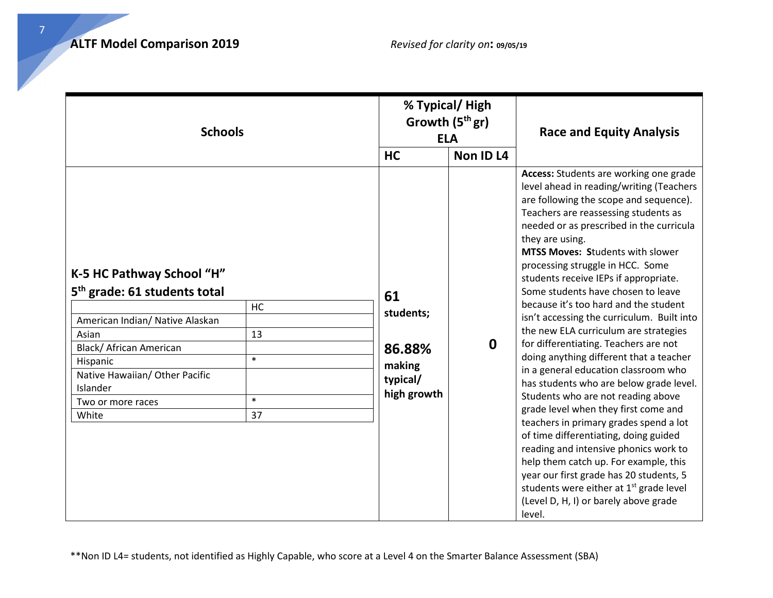| <b>Schools</b>                                                                                                                                                                                                                       |                                           |                                                                             | % Typical/High<br>Growth $(5thgr)$<br><b>ELA</b> | <b>Race and Equity Analysis</b>                                                                                                                                                                                                                                                                                                                                                                                                                                                                                                                                                                                                                                                                                                                                                                                                                                                                                                                                                                        |
|--------------------------------------------------------------------------------------------------------------------------------------------------------------------------------------------------------------------------------------|-------------------------------------------|-----------------------------------------------------------------------------|--------------------------------------------------|--------------------------------------------------------------------------------------------------------------------------------------------------------------------------------------------------------------------------------------------------------------------------------------------------------------------------------------------------------------------------------------------------------------------------------------------------------------------------------------------------------------------------------------------------------------------------------------------------------------------------------------------------------------------------------------------------------------------------------------------------------------------------------------------------------------------------------------------------------------------------------------------------------------------------------------------------------------------------------------------------------|
| K-5 HC Pathway School "H"<br>5 <sup>th</sup> grade: 61 students total<br>American Indian/ Native Alaskan<br>Asian<br>Black/ African American<br>Hispanic<br>Native Hawaiian/ Other Pacific<br>Islander<br>Two or more races<br>White | <b>HC</b><br>13<br>$\ast$<br>$\ast$<br>37 | <b>HC</b><br>61<br>students;<br>86.88%<br>making<br>typical/<br>high growth | Non ID L4<br>$\mathbf 0$                         | Access: Students are working one grade<br>level ahead in reading/writing (Teachers<br>are following the scope and sequence).<br>Teachers are reassessing students as<br>needed or as prescribed in the curricula<br>they are using.<br><b>MTSS Moves: Students with slower</b><br>processing struggle in HCC. Some<br>students receive IEPs if appropriate.<br>Some students have chosen to leave<br>because it's too hard and the student<br>isn't accessing the curriculum. Built into<br>the new ELA curriculum are strategies<br>for differentiating. Teachers are not<br>doing anything different that a teacher<br>in a general education classroom who<br>has students who are below grade level.<br>Students who are not reading above<br>grade level when they first come and<br>teachers in primary grades spend a lot<br>of time differentiating, doing guided<br>reading and intensive phonics work to<br>help them catch up. For example, this<br>year our first grade has 20 students, 5 |
|                                                                                                                                                                                                                                      |                                           |                                                                             |                                                  | students were either at 1 <sup>st</sup> grade level<br>(Level D, H, I) or barely above grade<br>level.                                                                                                                                                                                                                                                                                                                                                                                                                                                                                                                                                                                                                                                                                                                                                                                                                                                                                                 |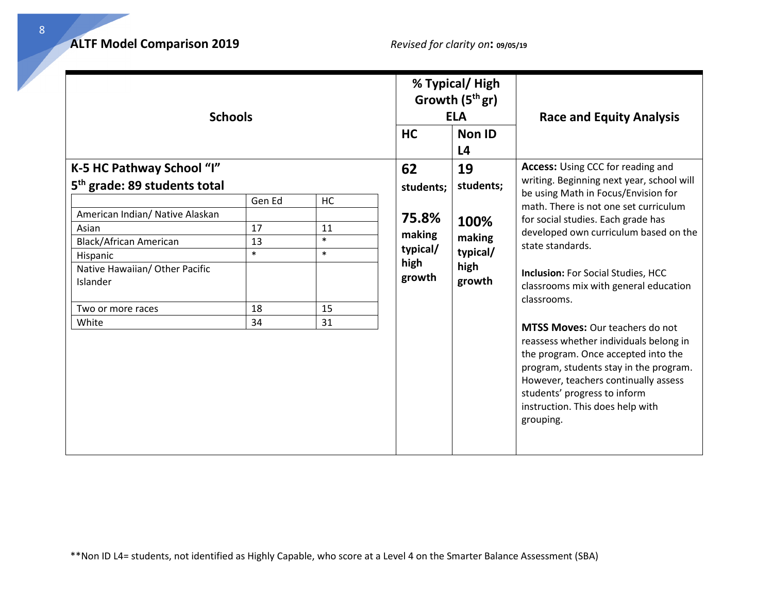| <b>Schools</b>                                    |        |        | % Typical/High<br>Growth $(5thgr)$<br><b>ELA</b> |                                 | <b>Race and Equity Analysis</b>                                                                                                                                                                                                                                                            |
|---------------------------------------------------|--------|--------|--------------------------------------------------|---------------------------------|--------------------------------------------------------------------------------------------------------------------------------------------------------------------------------------------------------------------------------------------------------------------------------------------|
|                                                   |        |        | <b>HC</b>                                        | <b>Non ID</b><br>L <sub>4</sub> |                                                                                                                                                                                                                                                                                            |
| K-5 HC Pathway School "I"                         |        |        | 62                                               | 19                              | <b>Access:</b> Using CCC for reading and                                                                                                                                                                                                                                                   |
| 5 <sup>th</sup> grade: 89 students total          |        |        | students;                                        | students;                       | writing. Beginning next year, school will                                                                                                                                                                                                                                                  |
|                                                   | Gen Ed | HC     |                                                  |                                 | be using Math in Focus/Envision for<br>math. There is not one set curriculum                                                                                                                                                                                                               |
| American Indian/ Native Alaskan                   |        |        | 75.8%                                            | 100%                            | for social studies. Each grade has                                                                                                                                                                                                                                                         |
| Asian                                             | 17     | 11     | making                                           |                                 | developed own curriculum based on the                                                                                                                                                                                                                                                      |
| Black/African American                            | 13     | $\ast$ | typical/                                         | making                          | state standards.                                                                                                                                                                                                                                                                           |
| Hispanic                                          | $\ast$ | $\ast$ | high                                             | typical/                        |                                                                                                                                                                                                                                                                                            |
| Native Hawaiian/ Other Pacific<br><b>Islander</b> |        |        | growth                                           | high<br>growth                  | <b>Inclusion: For Social Studies, HCC</b><br>classrooms mix with general education                                                                                                                                                                                                         |
| Two or more races                                 | 18     | 15     |                                                  |                                 | classrooms.                                                                                                                                                                                                                                                                                |
| White                                             | 34     | 31     |                                                  |                                 |                                                                                                                                                                                                                                                                                            |
|                                                   |        |        |                                                  |                                 | <b>MTSS Moves: Our teachers do not</b><br>reassess whether individuals belong in<br>the program. Once accepted into the<br>program, students stay in the program.<br>However, teachers continually assess<br>students' progress to inform<br>instruction. This does help with<br>grouping. |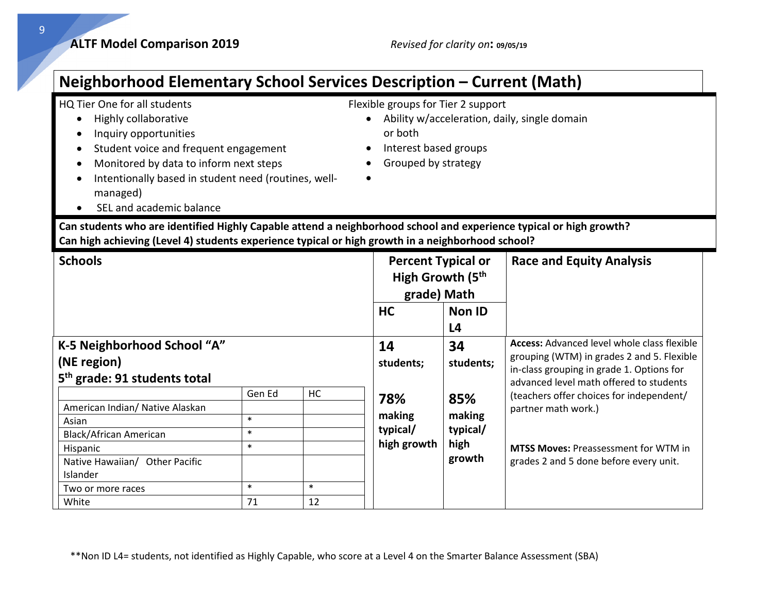• Ability w/acceleration, daily, single domain

Flexible groups for Tier 2 support

• Interest based groups • Grouped by strategy

or both

### **Neighborhood Elementary School Services Description – Current (Math)**

### HQ Tier One for all students

- Highly collaborative
- Inquiry opportunities
- Student voice and frequent engagement
- Monitored by data to inform next steps
- Intentionally based in student need (routines, wellmanaged)
- SEL and academic balance

# **Can students who are identified Highly Capable attend a neighborhood school and experience typical or high growth?**

•

#### **Can high achieving (Level 4) students experience typical or high growth in a neighborhood school?**

| <b>Schools</b>                           |        |        | <b>Percent Typical or</b><br>High Growth (5 <sup>th</sup><br>grade) Math |                | <b>Race and Equity Analysis</b>                                                      |
|------------------------------------------|--------|--------|--------------------------------------------------------------------------|----------------|--------------------------------------------------------------------------------------|
|                                          |        |        | <b>HC</b>                                                                | <b>Non ID</b>  |                                                                                      |
|                                          |        |        |                                                                          | L <sub>4</sub> |                                                                                      |
| K-5 Neighborhood School "A"              |        |        | 14                                                                       | 34             | <b>Access:</b> Advanced level whole class flexible                                   |
| (NE region)                              |        |        | students;                                                                | students;      | grouping (WTM) in grades 2 and 5. Flexible                                           |
| 5 <sup>th</sup> grade: 91 students total |        |        |                                                                          |                | in-class grouping in grade 1. Options for<br>advanced level math offered to students |
|                                          | Gen Ed | HC     | 78%                                                                      | 85%            | (teachers offer choices for independent/                                             |
| American Indian/ Native Alaskan          |        |        |                                                                          |                | partner math work.)                                                                  |
| Asian                                    | $\ast$ |        | making                                                                   | making         |                                                                                      |
| Black/African American                   | $\ast$ |        | typical/                                                                 | typical/       |                                                                                      |
| Hispanic                                 | $\ast$ |        | high growth                                                              | high           | <b>MTSS Moves: Preassessment for WTM in</b>                                          |
| Native Hawaiian/ Other Pacific           |        |        |                                                                          | growth         | grades 2 and 5 done before every unit.                                               |
| Islander                                 |        |        |                                                                          |                |                                                                                      |
| Two or more races                        | $\ast$ | $\ast$ |                                                                          |                |                                                                                      |
| White                                    | 71     | 12     |                                                                          |                |                                                                                      |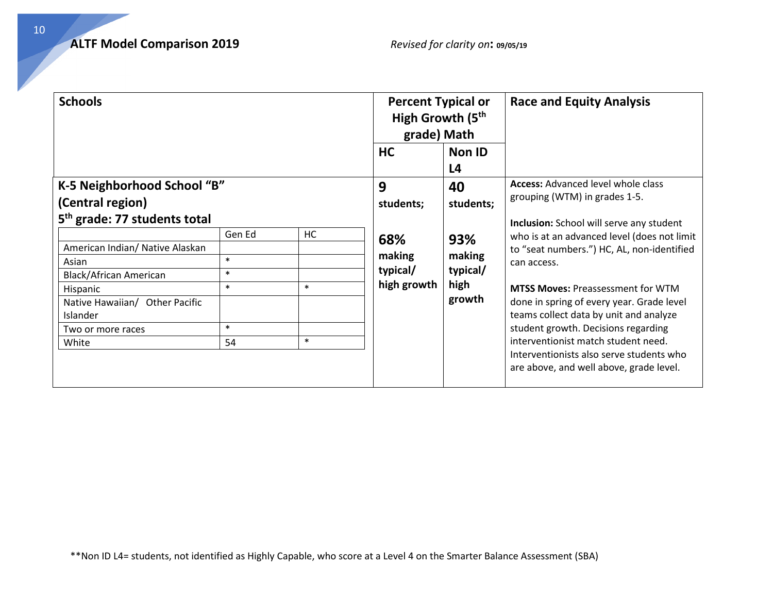| <b>Schools</b>                           |        |           | <b>Percent Typical or</b><br>High Growth (5 <sup>th</sup><br>grade) Math |                               | <b>Race and Equity Analysis</b>                                                     |
|------------------------------------------|--------|-----------|--------------------------------------------------------------------------|-------------------------------|-------------------------------------------------------------------------------------|
|                                          |        |           | <b>HC</b>                                                                | Non ID                        |                                                                                     |
|                                          |        |           |                                                                          | L <sub>4</sub>                |                                                                                     |
| K-5 Neighborhood School "B"              |        |           | 9                                                                        | 40                            | <b>Access: Advanced level whole class</b>                                           |
| (Central region)                         |        | students; | students;                                                                | grouping (WTM) in grades 1-5. |                                                                                     |
| 5 <sup>th</sup> grade: 77 students total |        |           |                                                                          |                               | <b>Inclusion:</b> School will serve any student                                     |
|                                          | Gen Ed | <b>HC</b> | 68%                                                                      | 93%                           | who is at an advanced level (does not limit                                         |
| American Indian/ Native Alaskan          |        |           |                                                                          |                               | to "seat numbers.") HC, AL, non-identified                                          |
| Asian                                    | $\ast$ |           | making                                                                   | making                        | can access.                                                                         |
| <b>Black/African American</b>            | $\ast$ |           | typical/                                                                 | typical/                      |                                                                                     |
| Hispanic                                 | $\ast$ | $\ast$    | high growth                                                              | high                          | <b>MTSS Moves: Preassessment for WTM</b>                                            |
| Native Hawaiian/ Other Pacific           |        |           |                                                                          | growth                        | done in spring of every year. Grade level                                           |
| Islander                                 |        |           |                                                                          |                               | teams collect data by unit and analyze                                              |
| Two or more races                        | $\ast$ |           |                                                                          |                               | student growth. Decisions regarding                                                 |
| White                                    | 54     | $\ast$    |                                                                          |                               | interventionist match student need.                                                 |
|                                          |        |           |                                                                          |                               | Interventionists also serve students who<br>are above, and well above, grade level. |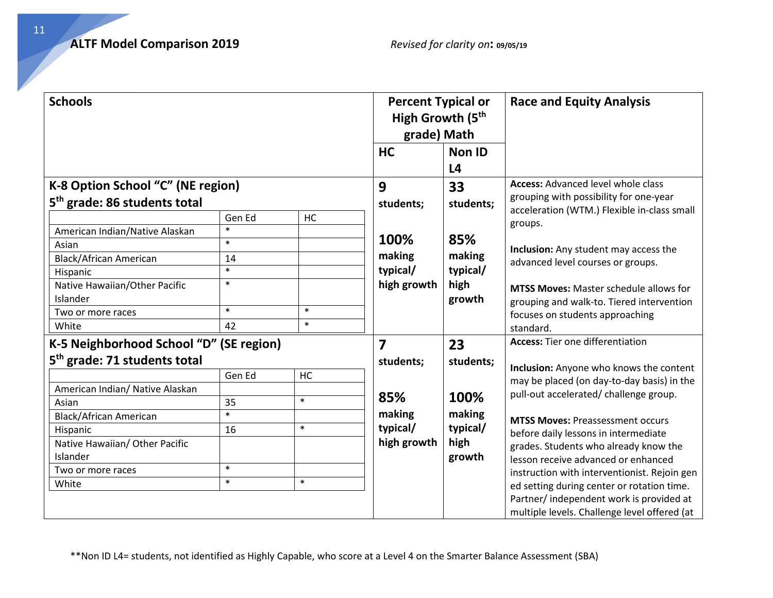| <b>Schools</b>                                                                                                                                                                                                                                           |                                                                      |                                         | <b>Percent Typical or</b><br>High Growth (5 <sup>th</sup><br>grade) Math |                                                                 | <b>Race and Equity Analysis</b>                                                                                                                                                                                                                                                                                                                                                                                                                                                                                                         |
|----------------------------------------------------------------------------------------------------------------------------------------------------------------------------------------------------------------------------------------------------------|----------------------------------------------------------------------|-----------------------------------------|--------------------------------------------------------------------------|-----------------------------------------------------------------|-----------------------------------------------------------------------------------------------------------------------------------------------------------------------------------------------------------------------------------------------------------------------------------------------------------------------------------------------------------------------------------------------------------------------------------------------------------------------------------------------------------------------------------------|
|                                                                                                                                                                                                                                                          |                                                                      |                                         | <b>HC</b>                                                                | <b>Non ID</b><br>L <sub>4</sub>                                 |                                                                                                                                                                                                                                                                                                                                                                                                                                                                                                                                         |
| K-8 Option School "C" (NE region)<br>5 <sup>th</sup> grade: 86 students total                                                                                                                                                                            |                                                                      |                                         | 9<br>students;                                                           | 33<br>students;                                                 | <b>Access: Advanced level whole class</b><br>grouping with possibility for one-year                                                                                                                                                                                                                                                                                                                                                                                                                                                     |
| American Indian/Native Alaskan<br>Asian<br>Black/African American<br>Hispanic<br>Native Hawaiian/Other Pacific<br>Islander<br>Two or more races<br>White                                                                                                 | Gen Ed<br>$\ast$<br>$\ast$<br>14<br>$\ast$<br>$\ast$<br>$\ast$<br>42 | HC<br>$\ast$<br>$\ast$                  | 100%<br>making<br>typical/<br>high growth                                | 85%<br>making<br>typical/<br>high<br>growth                     | acceleration (WTM.) Flexible in-class small<br>groups.<br>Inclusion: Any student may access the<br>advanced level courses or groups.<br><b>MTSS Moves: Master schedule allows for</b><br>grouping and walk-to. Tiered intervention<br>focuses on students approaching<br>standard.                                                                                                                                                                                                                                                      |
| K-5 Neighborhood School "D" (SE region)<br>5 <sup>th</sup> grade: 71 students total<br>American Indian/ Native Alaskan<br>Asian<br><b>Black/African American</b><br>Hispanic<br>Native Hawaiian/ Other Pacific<br>Islander<br>Two or more races<br>White | Gen Ed<br>35<br>$\ast$<br>16<br>$\ast$<br>$\ast$                     | <b>HC</b><br>$\ast$<br>$\ast$<br>$\ast$ | 7<br>students;<br>85%<br>making<br>typical/<br>high growth               | 23<br>students;<br>100%<br>making<br>typical/<br>high<br>growth | <b>Access:</b> Tier one differentiation<br>Inclusion: Anyone who knows the content<br>may be placed (on day-to-day basis) in the<br>pull-out accelerated/ challenge group.<br><b>MTSS Moves: Preassessment occurs</b><br>before daily lessons in intermediate<br>grades. Students who already know the<br>lesson receive advanced or enhanced<br>instruction with interventionist. Rejoin gen<br>ed setting during center or rotation time.<br>Partner/ independent work is provided at<br>multiple levels. Challenge level offered (at |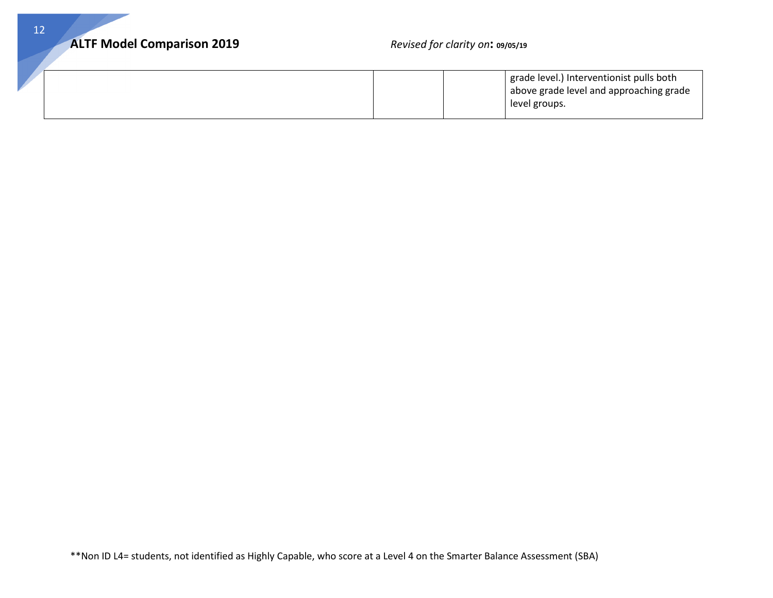|  | grade level.) Interventionist pulls both |
|--|------------------------------------------|
|  | above grade level and approaching grade  |
|  | level groups.                            |
|  |                                          |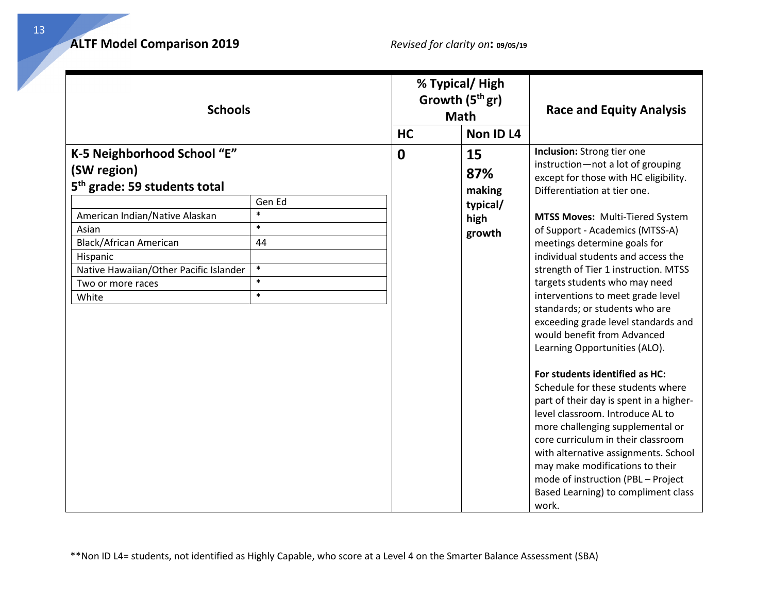| <b>Schools</b>                                                                                                                                                                                                                                                                                                    |  | % Typical/High<br>Growth $(5thgr)$<br><b>Math</b><br>Non ID L4<br><b>HC</b> |                                                   | <b>Race and Equity Analysis</b>                                                                                                                                                                                                                                                                                                                                                                                                                                                                                                                                                                                                                                                                                                                                                                                                                                                                                                              |
|-------------------------------------------------------------------------------------------------------------------------------------------------------------------------------------------------------------------------------------------------------------------------------------------------------------------|--|-----------------------------------------------------------------------------|---------------------------------------------------|----------------------------------------------------------------------------------------------------------------------------------------------------------------------------------------------------------------------------------------------------------------------------------------------------------------------------------------------------------------------------------------------------------------------------------------------------------------------------------------------------------------------------------------------------------------------------------------------------------------------------------------------------------------------------------------------------------------------------------------------------------------------------------------------------------------------------------------------------------------------------------------------------------------------------------------------|
| K-5 Neighborhood School "E"<br>(SW region)<br>5 <sup>th</sup> grade: 59 students total<br>Gen Ed<br>$\ast$<br>American Indian/Native Alaskan<br>$\ast$<br>Asian<br>Black/African American<br>44<br>Hispanic<br>$\ast$<br>Native Hawaiian/Other Pacific Islander<br>$\ast$<br>Two or more races<br>$\ast$<br>White |  | $\mathbf 0$                                                                 | 15<br>87%<br>making<br>typical/<br>high<br>growth | Inclusion: Strong tier one<br>instruction-not a lot of grouping<br>except for those with HC eligibility.<br>Differentiation at tier one.<br>MTSS Moves: Multi-Tiered System<br>of Support - Academics (MTSS-A)<br>meetings determine goals for<br>individual students and access the<br>strength of Tier 1 instruction. MTSS<br>targets students who may need<br>interventions to meet grade level<br>standards; or students who are<br>exceeding grade level standards and<br>would benefit from Advanced<br>Learning Opportunities (ALO).<br>For students identified as HC:<br>Schedule for these students where<br>part of their day is spent in a higher-<br>level classroom. Introduce AL to<br>more challenging supplemental or<br>core curriculum in their classroom<br>with alternative assignments. School<br>may make modifications to their<br>mode of instruction (PBL - Project<br>Based Learning) to compliment class<br>work. |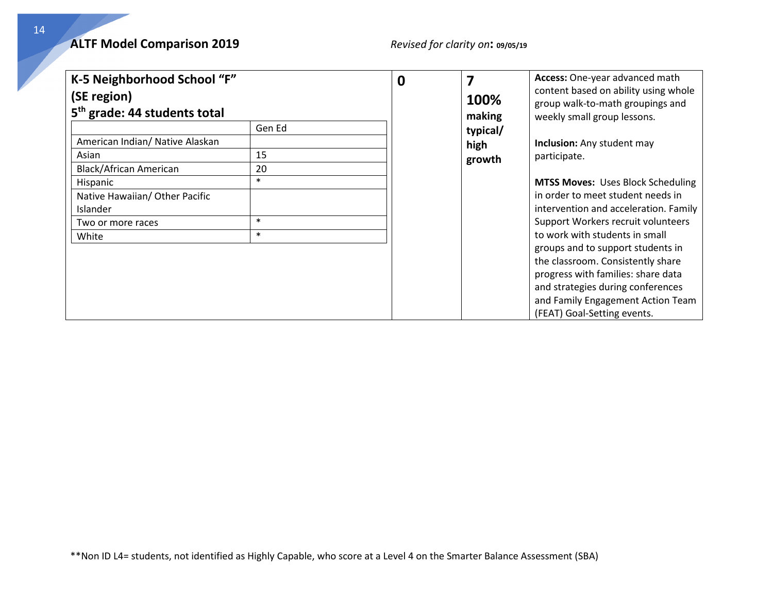### **ALTF Model Comparison 2019** *Revised for clarity on***: 09/05/19**

| K-5 Neighborhood School "F"<br>(SE region)<br>5 <sup>th</sup> grade: 44 students total                                                                     |                                                  | 0 | 7<br>100%<br>making        | Access: One-year advanced math<br>content based on ability using whole<br>group walk-to-math groupings and<br>weekly small group lessons.                                                                                                                                                                                                                                                                                                                             |
|------------------------------------------------------------------------------------------------------------------------------------------------------------|--------------------------------------------------|---|----------------------------|-----------------------------------------------------------------------------------------------------------------------------------------------------------------------------------------------------------------------------------------------------------------------------------------------------------------------------------------------------------------------------------------------------------------------------------------------------------------------|
| American Indian/ Native Alaskan<br>Asian<br>Black/African American<br>Hispanic<br>Native Hawaiian/ Other Pacific<br>Islander<br>Two or more races<br>White | Gen Ed<br>15<br>20<br>$\ast$<br>$\ast$<br>$\ast$ |   | typical/<br>high<br>growth | Inclusion: Any student may<br>participate.<br><b>MTSS Moves: Uses Block Scheduling</b><br>in order to meet student needs in<br>intervention and acceleration. Family<br>Support Workers recruit volunteers<br>to work with students in small<br>groups and to support students in<br>the classroom. Consistently share<br>progress with families: share data<br>and strategies during conferences<br>and Family Engagement Action Team<br>(FEAT) Goal-Setting events. |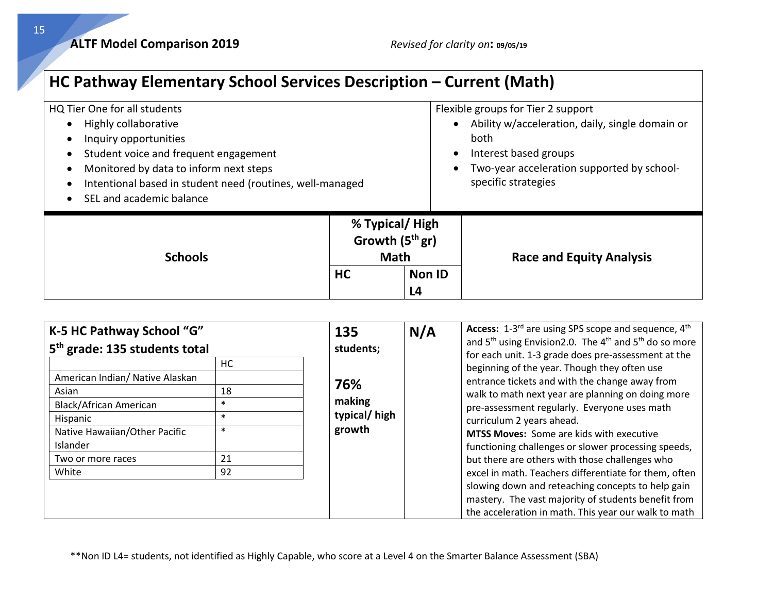**ALTF Model Comparison 2019** *Revised for clarity on***: 09/05/19**

## **HC Pathway Elementary School Services Description – Current (Math)**

| HQ Tier One for all students                              |                  |               | Flexible groups for Tier 2 support                           |  |  |
|-----------------------------------------------------------|------------------|---------------|--------------------------------------------------------------|--|--|
| Highly collaborative<br>$\bullet$                         |                  |               | Ability w/acceleration, daily, single domain or<br>$\bullet$ |  |  |
| Inquiry opportunities                                     |                  |               | both                                                         |  |  |
| Student voice and frequent engagement<br>$\bullet$        |                  |               | Interest based groups<br>$\bullet$                           |  |  |
| Monitored by data to inform next steps<br>$\bullet$       |                  |               | Two-year acceleration supported by school-<br>$\bullet$      |  |  |
| Intentional based in student need (routines, well-managed |                  |               | specific strategies                                          |  |  |
| SEL and academic balance<br>$\bullet$                     |                  |               |                                                              |  |  |
|                                                           |                  |               |                                                              |  |  |
|                                                           | % Typical/High   |               |                                                              |  |  |
|                                                           | Growth $(5thgr)$ |               | <b>Race and Equity Analysis</b>                              |  |  |
| <b>Schools</b>                                            |                  |               |                                                              |  |  |
|                                                           | <b>Math</b>      |               |                                                              |  |  |
|                                                           | <b>HC</b>        | <b>Non ID</b> |                                                              |  |  |
|                                                           |                  | L4            |                                                              |  |  |

| K-5 HC Pathway School "G"                                                                                                                                                                                     |                                                     | 135                                                  | N/A | Access: 1-3 <sup>rd</sup> are using SPS scope and sequence, 4 <sup>th</sup><br>and $5th$ using Envision 2.0. The 4 <sup>th</sup> and $5th$ do so more                                                                                                                                                                                                                                                                                                                                                                                                                                                                                                                            |
|---------------------------------------------------------------------------------------------------------------------------------------------------------------------------------------------------------------|-----------------------------------------------------|------------------------------------------------------|-----|----------------------------------------------------------------------------------------------------------------------------------------------------------------------------------------------------------------------------------------------------------------------------------------------------------------------------------------------------------------------------------------------------------------------------------------------------------------------------------------------------------------------------------------------------------------------------------------------------------------------------------------------------------------------------------|
| 5 <sup>th</sup> grade: 135 students total<br>American Indian/ Native Alaskan<br>Asian<br><b>Black/African American</b><br>Hispanic<br>Native Hawaiian/Other Pacific<br>Islander<br>Two or more races<br>White | HC.<br>18<br>$\ast$<br>$\ast$<br>$\ast$<br>21<br>92 | students;<br>76%<br>making<br>typical/high<br>growth |     | for each unit. 1-3 grade does pre-assessment at the<br>beginning of the year. Though they often use<br>entrance tickets and with the change away from<br>walk to math next year are planning on doing more<br>pre-assessment regularly. Everyone uses math<br>curriculum 2 years ahead.<br><b>MTSS Moves:</b> Some are kids with executive<br>functioning challenges or slower processing speeds,<br>but there are others with those challenges who<br>excel in math. Teachers differentiate for them, often<br>slowing down and reteaching concepts to help gain<br>mastery. The vast majority of students benefit from<br>the acceleration in math. This year our walk to math |

\*\*Non ID L4= students, not identified as Highly Capable, who score at a Level 4 on the Smarter Balance Assessment (SBA)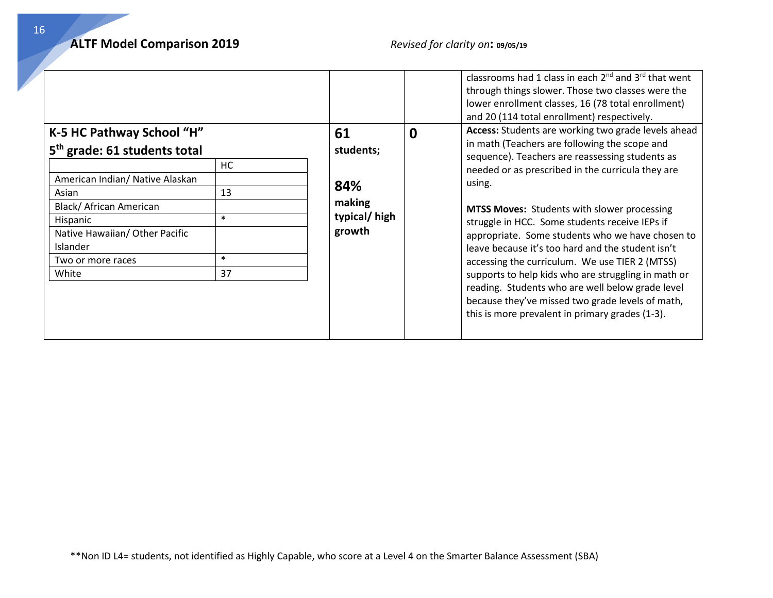|                                                                                                                                                                                                   |                                         | classrooms had 1 class in each $2^{nd}$ and $3^{rd}$ that went<br>through things slower. Those two classes were the<br>lower enrollment classes, 16 (78 total enrollment)<br>and 20 (114 total enrollment) respectively.                                                                                                                                                                                                                                                                                                                         |
|---------------------------------------------------------------------------------------------------------------------------------------------------------------------------------------------------|-----------------------------------------|--------------------------------------------------------------------------------------------------------------------------------------------------------------------------------------------------------------------------------------------------------------------------------------------------------------------------------------------------------------------------------------------------------------------------------------------------------------------------------------------------------------------------------------------------|
| K-5 HC Pathway School "H"<br>5 <sup>th</sup> grade: 61 students total                                                                                                                             | 61<br>$\bf{0}$<br>students;             | Access: Students are working two grade levels ahead<br>in math (Teachers are following the scope and<br>sequence). Teachers are reassessing students as                                                                                                                                                                                                                                                                                                                                                                                          |
| НC<br>American Indian/ Native Alaskan<br>13<br>Asian<br>Black/ African American<br>$\ast$<br>Hispanic<br>Native Hawaiian/ Other Pacific<br>Islander<br>$\ast$<br>Two or more races<br>37<br>White | 84%<br>making<br>typical/high<br>growth | needed or as prescribed in the curricula they are<br>using.<br><b>MTSS Moves:</b> Students with slower processing<br>struggle in HCC. Some students receive IEPs if<br>appropriate. Some students who we have chosen to<br>leave because it's too hard and the student isn't<br>accessing the curriculum. We use TIER 2 (MTSS)<br>supports to help kids who are struggling in math or<br>reading. Students who are well below grade level<br>because they've missed two grade levels of math,<br>this is more prevalent in primary grades (1-3). |